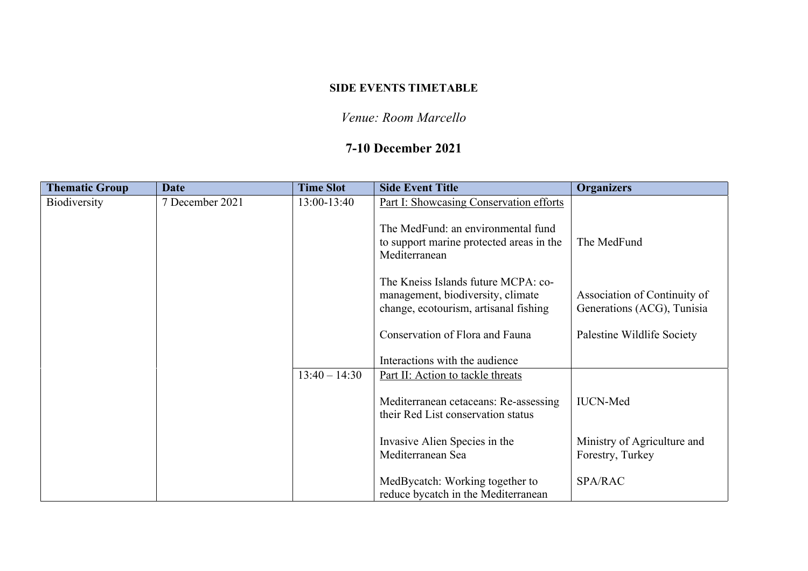### **SIDE EVENTS TIMETABLE**

## *Venue: Room Marcello*

# **7-10 December 2021**

| <b>Thematic Group</b> | <b>Date</b>     | <b>Time Slot</b> | <b>Side Event Title</b>                                                                                           | <b>Organizers</b>                                          |
|-----------------------|-----------------|------------------|-------------------------------------------------------------------------------------------------------------------|------------------------------------------------------------|
| Biodiversity          | 7 December 2021 | 13:00-13:40      | Part I: Showcasing Conservation efforts                                                                           |                                                            |
|                       |                 |                  | The MedFund: an environmental fund<br>to support marine protected areas in the<br>Mediterranean                   | The MedFund                                                |
|                       |                 |                  | The Kneiss Islands future MCPA: co-<br>management, biodiversity, climate<br>change, ecotourism, artisanal fishing | Association of Continuity of<br>Generations (ACG), Tunisia |
|                       |                 |                  | Conservation of Flora and Fauna                                                                                   | Palestine Wildlife Society                                 |
|                       |                 |                  | Interactions with the audience                                                                                    |                                                            |
|                       |                 | $13:40 - 14:30$  | Part II: Action to tackle threats                                                                                 |                                                            |
|                       |                 |                  | Mediterranean cetaceans: Re-assessing<br>their Red List conservation status                                       | <b>IUCN-Med</b>                                            |
|                       |                 |                  | Invasive Alien Species in the<br>Mediterranean Sea                                                                | Ministry of Agriculture and<br>Forestry, Turkey            |
|                       |                 |                  | MedBycatch: Working together to<br>reduce bycatch in the Mediterranean                                            | SPA/RAC                                                    |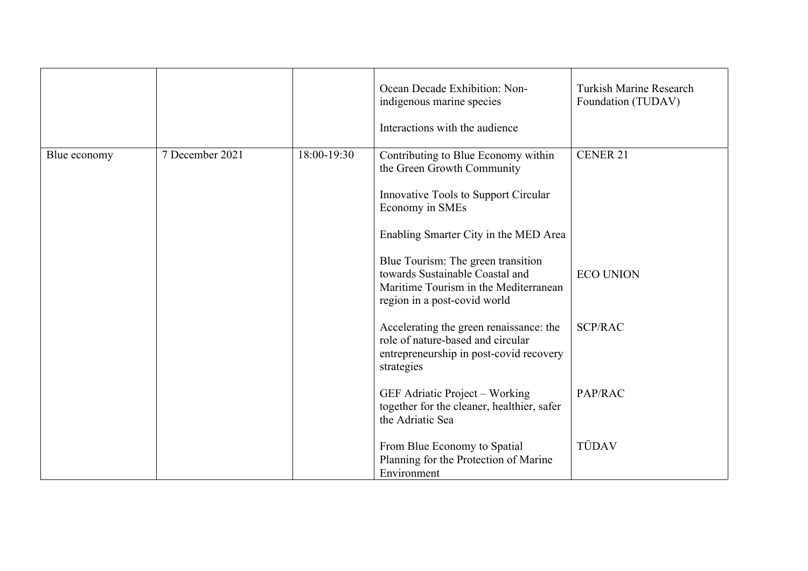|              |                 |             | Ocean Decade Exhibition: Non-<br>indigenous marine species<br>Interactions with the audience                                                                                                                                                                                                                            | <b>Turkish Marine Research</b><br>Foundation (TUDAV) |
|--------------|-----------------|-------------|-------------------------------------------------------------------------------------------------------------------------------------------------------------------------------------------------------------------------------------------------------------------------------------------------------------------------|------------------------------------------------------|
| Blue economy | 7 December 2021 | 18:00-19:30 | Contributing to Blue Economy within<br>the Green Growth Community<br>Innovative Tools to Support Circular<br>Economy in SMEs<br>Enabling Smarter City in the MED Area<br>Blue Tourism: The green transition<br>towards Sustainable Coastal and<br>Maritime Tourism in the Mediterranean<br>region in a post-covid world | <b>CENER 21</b><br><b>ECO UNION</b>                  |
|              |                 |             | Accelerating the green renaissance: the<br>role of nature-based and circular<br>entrepreneurship in post-covid recovery<br>strategies<br>GEF Adriatic Project - Working                                                                                                                                                 | <b>SCP/RAC</b><br>PAP/RAC                            |
|              |                 |             | together for the cleaner, healthier, safer<br>the Adriatic Sea<br>From Blue Economy to Spatial<br>Planning for the Protection of Marine<br>Environment                                                                                                                                                                  | TÜDAV                                                |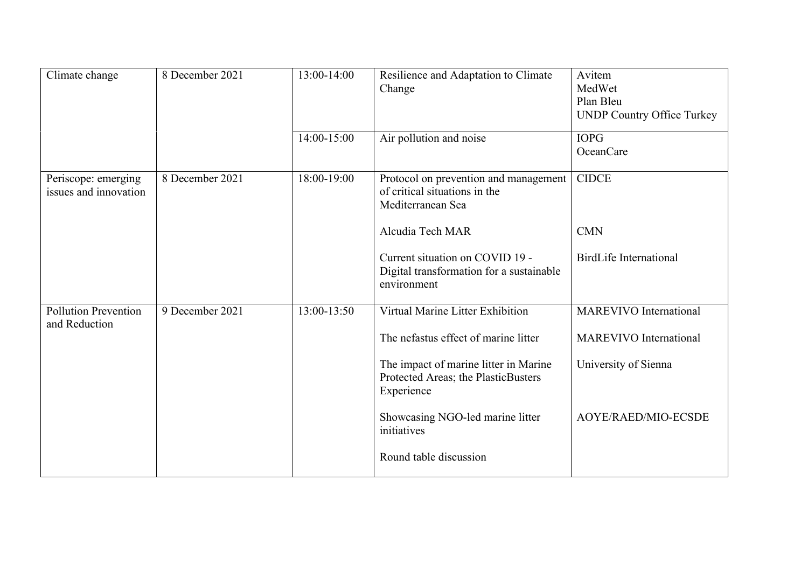| Climate change                               | 8 December 2021 | 13:00-14:00 | Resilience and Adaptation to Climate<br>Change                                              | Avitem<br>MedWet<br>Plan Bleu<br><b>UNDP Country Office Turkey</b> |
|----------------------------------------------|-----------------|-------------|---------------------------------------------------------------------------------------------|--------------------------------------------------------------------|
|                                              |                 | 14:00-15:00 | Air pollution and noise                                                                     | <b>IOPG</b><br><b>OceanCare</b>                                    |
| Periscope: emerging<br>issues and innovation | 8 December 2021 | 18:00-19:00 | Protocol on prevention and management<br>of critical situations in the<br>Mediterranean Sea | <b>CIDCE</b>                                                       |
|                                              |                 |             | Alcudia Tech MAR                                                                            | <b>CMN</b>                                                         |
|                                              |                 |             | Current situation on COVID 19 -<br>Digital transformation for a sustainable<br>environment  | <b>BirdLife International</b>                                      |
| <b>Pollution Prevention</b><br>and Reduction | 9 December 2021 | 13:00-13:50 | Virtual Marine Litter Exhibition                                                            | <b>MAREVIVO</b> International                                      |
|                                              |                 |             | The nefastus effect of marine litter                                                        | <b>MAREVIVO</b> International                                      |
|                                              |                 |             | The impact of marine litter in Marine<br>Protected Areas; the PlasticBusters<br>Experience  | University of Sienna                                               |
|                                              |                 |             | Showcasing NGO-led marine litter<br>initiatives                                             | <b>AOYE/RAED/MIO-ECSDE</b>                                         |
|                                              |                 |             | Round table discussion                                                                      |                                                                    |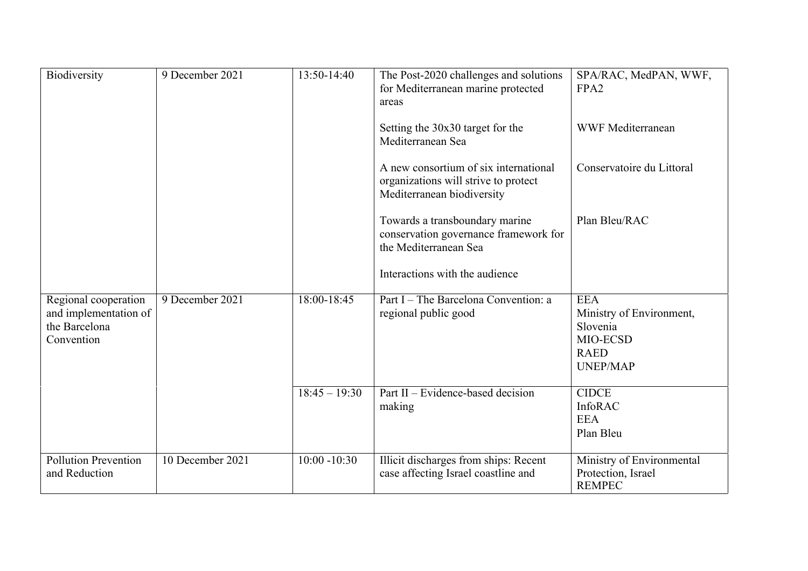| Biodiversity                                                                 | 9 December 2021  | 13:50-14:40     | The Post-2020 challenges and solutions<br>for Mediterranean marine protected<br>areas                       | SPA/RAC, MedPAN, WWF,<br>FPA <sub>2</sub>                                                        |
|------------------------------------------------------------------------------|------------------|-----------------|-------------------------------------------------------------------------------------------------------------|--------------------------------------------------------------------------------------------------|
|                                                                              |                  |                 | Setting the 30x30 target for the<br>Mediterranean Sea                                                       | <b>WWF Mediterranean</b>                                                                         |
|                                                                              |                  |                 | A new consortium of six international<br>organizations will strive to protect<br>Mediterranean biodiversity | Conservatoire du Littoral                                                                        |
|                                                                              |                  |                 | Towards a transboundary marine<br>conservation governance framework for<br>the Mediterranean Sea            | Plan Bleu/RAC                                                                                    |
|                                                                              |                  |                 | Interactions with the audience                                                                              |                                                                                                  |
| Regional cooperation<br>and implementation of<br>the Barcelona<br>Convention | 9 December 2021  | $18:00 - 18:45$ | Part I – The Barcelona Convention: a<br>regional public good                                                | <b>EEA</b><br>Ministry of Environment,<br>Slovenia<br>MIO-ECSD<br><b>RAED</b><br><b>UNEP/MAP</b> |
|                                                                              |                  | $18:45 - 19:30$ | Part II – Evidence-based decision<br>making                                                                 | <b>CIDCE</b><br>InfoRAC<br><b>EEA</b><br>Plan Bleu                                               |
| <b>Pollution Prevention</b><br>and Reduction                                 | 10 December 2021 | $10:00 - 10:30$ | Illicit discharges from ships: Recent<br>case affecting Israel coastline and                                | Ministry of Environmental<br>Protection, Israel<br><b>REMPEC</b>                                 |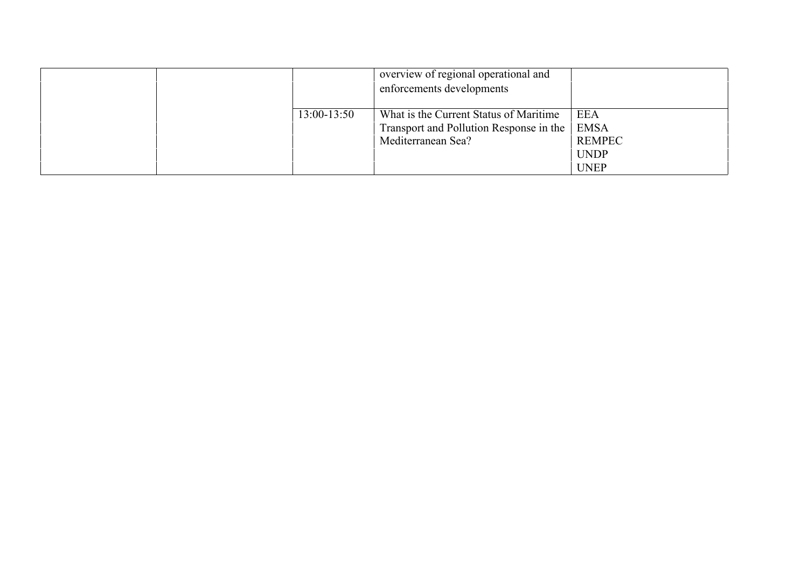|  |             | overview of regional operational and<br>enforcements developments                 |                            |
|--|-------------|-----------------------------------------------------------------------------------|----------------------------|
|  | 13:00-13:50 | What is the Current Status of Maritime<br>Transport and Pollution Response in the | <b>EEA</b><br><b>EMSA</b>  |
|  |             | Mediterranean Sea?                                                                | <b>REMPEC</b>              |
|  |             |                                                                                   | <b>UNDP</b><br><b>UNEP</b> |